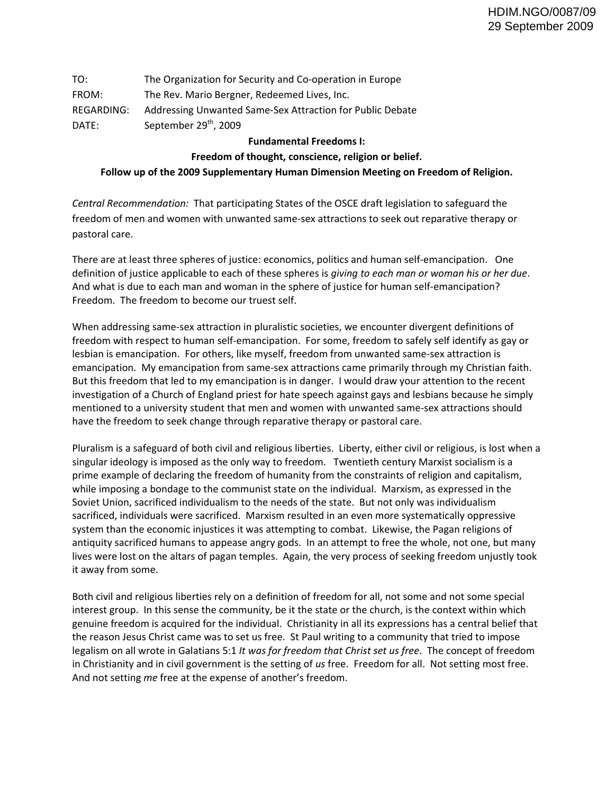| TO:        | The Organization for Security and Co-operation in Europe  |
|------------|-----------------------------------------------------------|
| FROM:      | The Rev. Mario Bergner, Redeemed Lives, Inc.              |
| REGARDING: | Addressing Unwanted Same-Sex Attraction for Public Debate |
| DATF:      | September 29 <sup>th</sup> , 2009                         |

## **Fundamental Freedoms I:**

## **Freedom of thought, conscience, religion or belief.**

## **Follow up of the 2009 Supplementary Human Dimension Meeting on Freedom of Religion.**

*Central Recommendation:* That participating States of the OSCE draft legislation to safeguard the freedom of men and women with unwanted same‐sex attractions to seek out reparative therapy or pastoral care.

There are at least three spheres of justice: economics, politics and human self-emancipation. One definition of justice applicable to each of these spheres is *giving to each man or woman his or her due*. And what is due to each man and woman in the sphere of justice for human self-emancipation? Freedom. The freedom to become our truest self.

When addressing same‐sex attraction in pluralistic societies, we encounter divergent definitions of freedom with respect to human self‐emancipation. For some, freedom to safely self identify as gay or lesbian is emancipation. For others, like myself, freedom from unwanted same‐sex attraction is emancipation. My emancipation from same-sex attractions came primarily through my Christian faith. But this freedom that led to my emancipation is in danger. I would draw your attention to the recent investigation of a Church of England priest for hate speech against gays and lesbians because he simply mentioned to a university student that men and women with unwanted same‐sex attractions should have the freedom to seek change through reparative therapy or pastoral care.

Pluralism is a safeguard of both civil and religious liberties. Liberty, either civil or religious, is lost when a singular ideology is imposed as the only way to freedom. Twentieth century Marxist socialism is a prime example of declaring the freedom of humanity from the constraints of religion and capitalism, while imposing a bondage to the communist state on the individual. Marxism, as expressed in the Soviet Union, sacrificed individualism to the needs of the state. But not only was individualism sacrificed, individuals were sacrificed. Marxism resulted in an even more systematically oppressive system than the economic injustices it was attempting to combat. Likewise, the Pagan religions of antiquity sacrificed humans to appease angry gods. In an attempt to free the whole, not one, but many lives were lost on the altars of pagan temples. Again, the very process of seeking freedom unjustly took it away from some.

Both civil and religious liberties rely on a definition of freedom for all, not some and not some special interest group. In this sense the community, be it the state or the church, is the context within which genuine freedom is acquired for the individual. Christianity in all its expressions has a central belief that the reason Jesus Christ came was to set us free. St Paul writing to a community that tried to impose legalism on all wrote in Galatians 5:1 *It was for freedom that Christ set us free*. The concept of freedom in Christianity and in civil government is the setting of *us* free. Freedom for all. Not setting most free. And not setting *me* free at the expense of another's freedom.